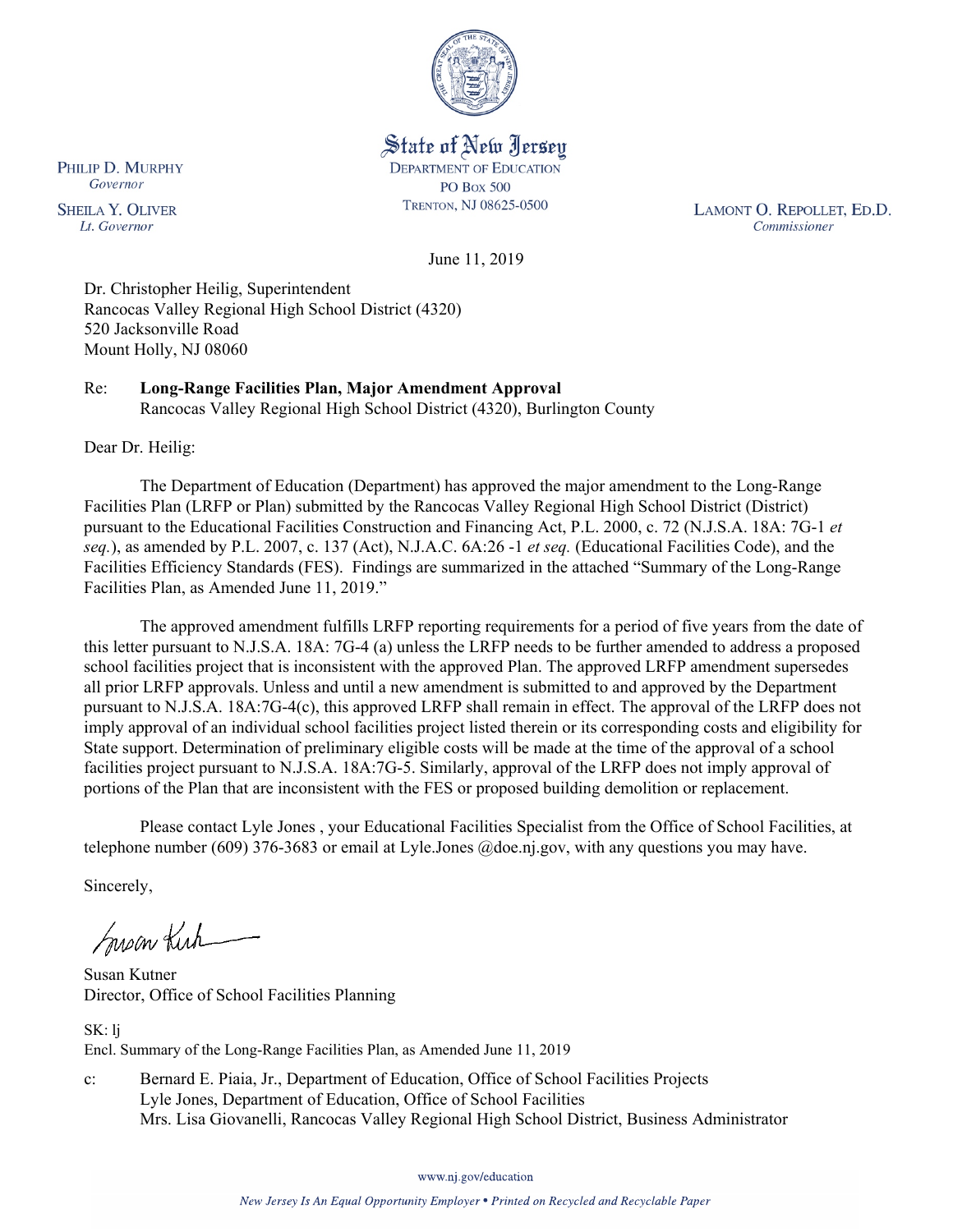

State of New Jersey **DEPARTMENT OF EDUCATION PO Box 500** TRENTON, NJ 08625-0500

LAMONT O. REPOLLET, ED.D. Commissioner

June 11, 2019

Dr. Christopher Heilig, Superintendent Rancocas Valley Regional High School District (4320) 520 Jacksonville Road Mount Holly, NJ 08060

Re: **Long-Range Facilities Plan, Major Amendment Approval** Rancocas Valley Regional High School District (4320), Burlington County

Dear Dr. Heilig:

The Department of Education (Department) has approved the major amendment to the Long-Range Facilities Plan (LRFP or Plan) submitted by the Rancocas Valley Regional High School District (District) pursuant to the Educational Facilities Construction and Financing Act, P.L. 2000, c. 72 (N.J.S.A. 18A: 7G-1 *et seq.*), as amended by P.L. 2007, c. 137 (Act), N.J.A.C. 6A:26 -1 *et seq.* (Educational Facilities Code), and the Facilities Efficiency Standards (FES). Findings are summarized in the attached "Summary of the Long-Range Facilities Plan, as Amended June 11, 2019."

The approved amendment fulfills LRFP reporting requirements for a period of five years from the date of this letter pursuant to N.J.S.A. 18A: 7G-4 (a) unless the LRFP needs to be further amended to address a proposed school facilities project that is inconsistent with the approved Plan. The approved LRFP amendment supersedes all prior LRFP approvals. Unless and until a new amendment is submitted to and approved by the Department pursuant to N.J.S.A. 18A:7G-4(c), this approved LRFP shall remain in effect. The approval of the LRFP does not imply approval of an individual school facilities project listed therein or its corresponding costs and eligibility for State support. Determination of preliminary eligible costs will be made at the time of the approval of a school facilities project pursuant to N.J.S.A. 18A:7G-5. Similarly, approval of the LRFP does not imply approval of portions of the Plan that are inconsistent with the FES or proposed building demolition or replacement.

Please contact Lyle Jones , your Educational Facilities Specialist from the Office of School Facilities, at telephone number (609) 376-3683 or email at Lyle.Jones @doe.nj.gov, with any questions you may have.

Sincerely,

Susan Kich

Susan Kutner Director, Office of School Facilities Planning

SK: lj Encl. Summary of the Long-Range Facilities Plan, as Amended June 11, 2019

c: Bernard E. Piaia, Jr., Department of Education, Office of School Facilities Projects Lyle Jones, Department of Education, Office of School Facilities Mrs. Lisa Giovanelli, Rancocas Valley Regional High School District, Business Administrator

www.nj.gov/education

New Jersey Is An Equal Opportunity Employer . Printed on Recycled and Recyclable Paper

PHILIP D. MURPHY Governor

**SHEILA Y. OLIVER** Lt. Governor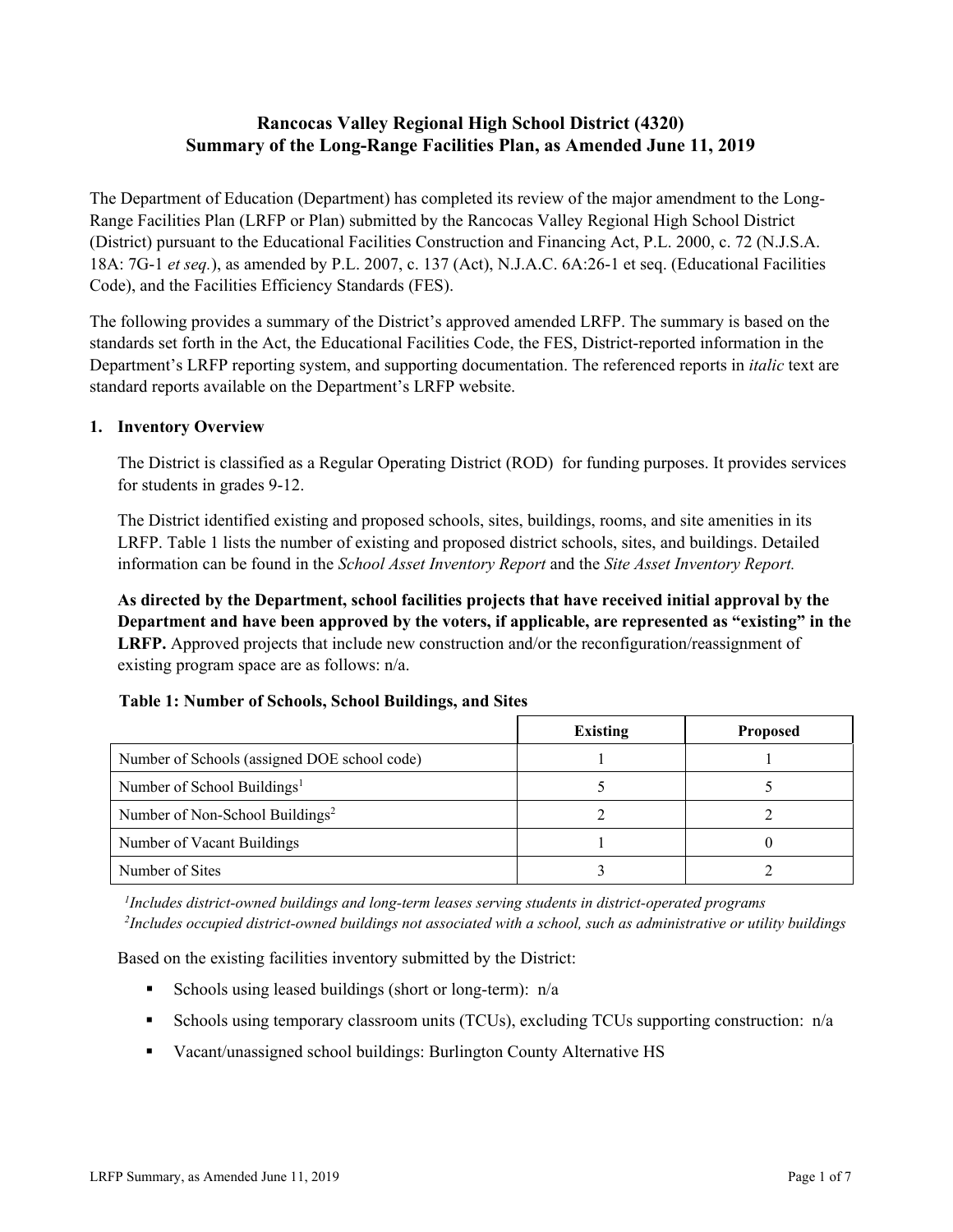# **Rancocas Valley Regional High School District (4320) Summary of the Long-Range Facilities Plan, as Amended June 11, 2019**

The Department of Education (Department) has completed its review of the major amendment to the Long-Range Facilities Plan (LRFP or Plan) submitted by the Rancocas Valley Regional High School District (District) pursuant to the Educational Facilities Construction and Financing Act, P.L. 2000, c. 72 (N.J.S.A. 18A: 7G-1 *et seq.*), as amended by P.L. 2007, c. 137 (Act), N.J.A.C. 6A:26-1 et seq. (Educational Facilities Code), and the Facilities Efficiency Standards (FES).

The following provides a summary of the District's approved amended LRFP. The summary is based on the standards set forth in the Act, the Educational Facilities Code, the FES, District-reported information in the Department's LRFP reporting system, and supporting documentation. The referenced reports in *italic* text are standard reports available on the Department's LRFP website.

#### **1. Inventory Overview**

The District is classified as a Regular Operating District (ROD) for funding purposes. It provides services for students in grades 9-12.

The District identified existing and proposed schools, sites, buildings, rooms, and site amenities in its LRFP. Table 1 lists the number of existing and proposed district schools, sites, and buildings. Detailed information can be found in the *School Asset Inventory Report* and the *Site Asset Inventory Report.*

**As directed by the Department, school facilities projects that have received initial approval by the Department and have been approved by the voters, if applicable, are represented as "existing" in the LRFP.** Approved projects that include new construction and/or the reconfiguration/reassignment of existing program space are as follows: n/a.

#### **Table 1: Number of Schools, School Buildings, and Sites**

|                                              | <b>Existing</b> | <b>Proposed</b> |
|----------------------------------------------|-----------------|-----------------|
| Number of Schools (assigned DOE school code) |                 |                 |
| Number of School Buildings <sup>1</sup>      |                 |                 |
| Number of Non-School Buildings <sup>2</sup>  |                 |                 |
| Number of Vacant Buildings                   |                 |                 |
| Number of Sites                              |                 |                 |

*1 Includes district-owned buildings and long-term leases serving students in district-operated programs 2 Includes occupied district-owned buildings not associated with a school, such as administrative or utility buildings*

Based on the existing facilities inventory submitted by the District:

- Schools using leased buildings (short or long-term):  $n/a$
- Schools using temporary classroom units (TCUs), excluding TCUs supporting construction:  $n/a$
- Vacant/unassigned school buildings: Burlington County Alternative HS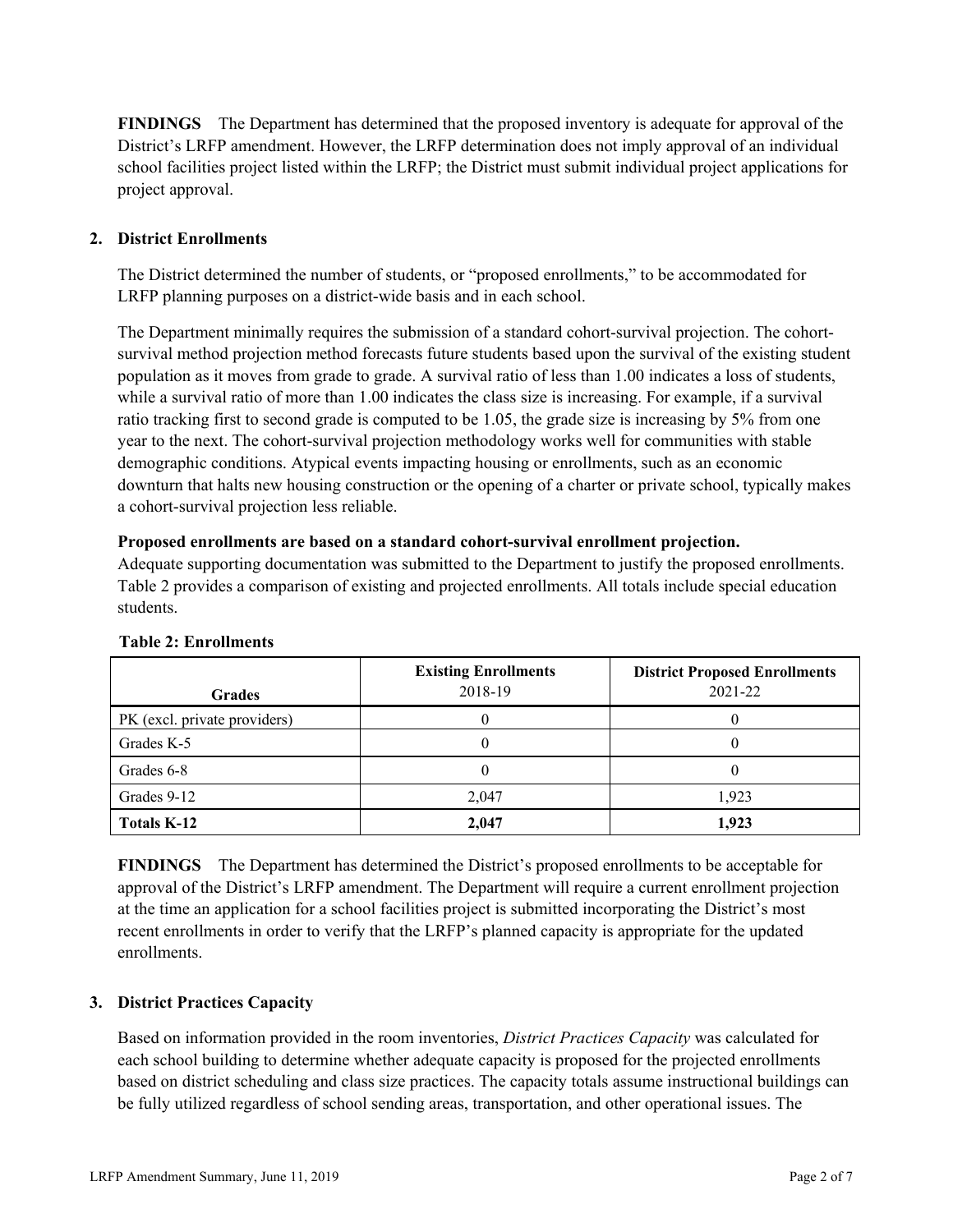**FINDINGS** The Department has determined that the proposed inventory is adequate for approval of the District's LRFP amendment. However, the LRFP determination does not imply approval of an individual school facilities project listed within the LRFP; the District must submit individual project applications for project approval.

# **2. District Enrollments**

The District determined the number of students, or "proposed enrollments," to be accommodated for LRFP planning purposes on a district-wide basis and in each school.

The Department minimally requires the submission of a standard cohort-survival projection. The cohortsurvival method projection method forecasts future students based upon the survival of the existing student population as it moves from grade to grade. A survival ratio of less than 1.00 indicates a loss of students, while a survival ratio of more than 1.00 indicates the class size is increasing. For example, if a survival ratio tracking first to second grade is computed to be 1.05, the grade size is increasing by 5% from one year to the next. The cohort-survival projection methodology works well for communities with stable demographic conditions. Atypical events impacting housing or enrollments, such as an economic downturn that halts new housing construction or the opening of a charter or private school, typically makes a cohort-survival projection less reliable.

#### **Proposed enrollments are based on a standard cohort-survival enrollment projection.**

Adequate supporting documentation was submitted to the Department to justify the proposed enrollments. Table 2 provides a comparison of existing and projected enrollments. All totals include special education students.

| <b>Grades</b>                | <b>Existing Enrollments</b><br>2018-19 | <b>District Proposed Enrollments</b><br>2021-22 |
|------------------------------|----------------------------------------|-------------------------------------------------|
| PK (excl. private providers) |                                        |                                                 |
| Grades K-5                   |                                        |                                                 |
| Grades 6-8                   |                                        |                                                 |
| Grades 9-12                  | 2.047                                  | 1.923                                           |
| Totals K-12                  | 2.047                                  | 1,923                                           |

#### **Table 2: Enrollments**

**FINDINGS** The Department has determined the District's proposed enrollments to be acceptable for approval of the District's LRFP amendment. The Department will require a current enrollment projection at the time an application for a school facilities project is submitted incorporating the District's most recent enrollments in order to verify that the LRFP's planned capacity is appropriate for the updated enrollments.

# **3. District Practices Capacity**

Based on information provided in the room inventories, *District Practices Capacity* was calculated for each school building to determine whether adequate capacity is proposed for the projected enrollments based on district scheduling and class size practices. The capacity totals assume instructional buildings can be fully utilized regardless of school sending areas, transportation, and other operational issues. The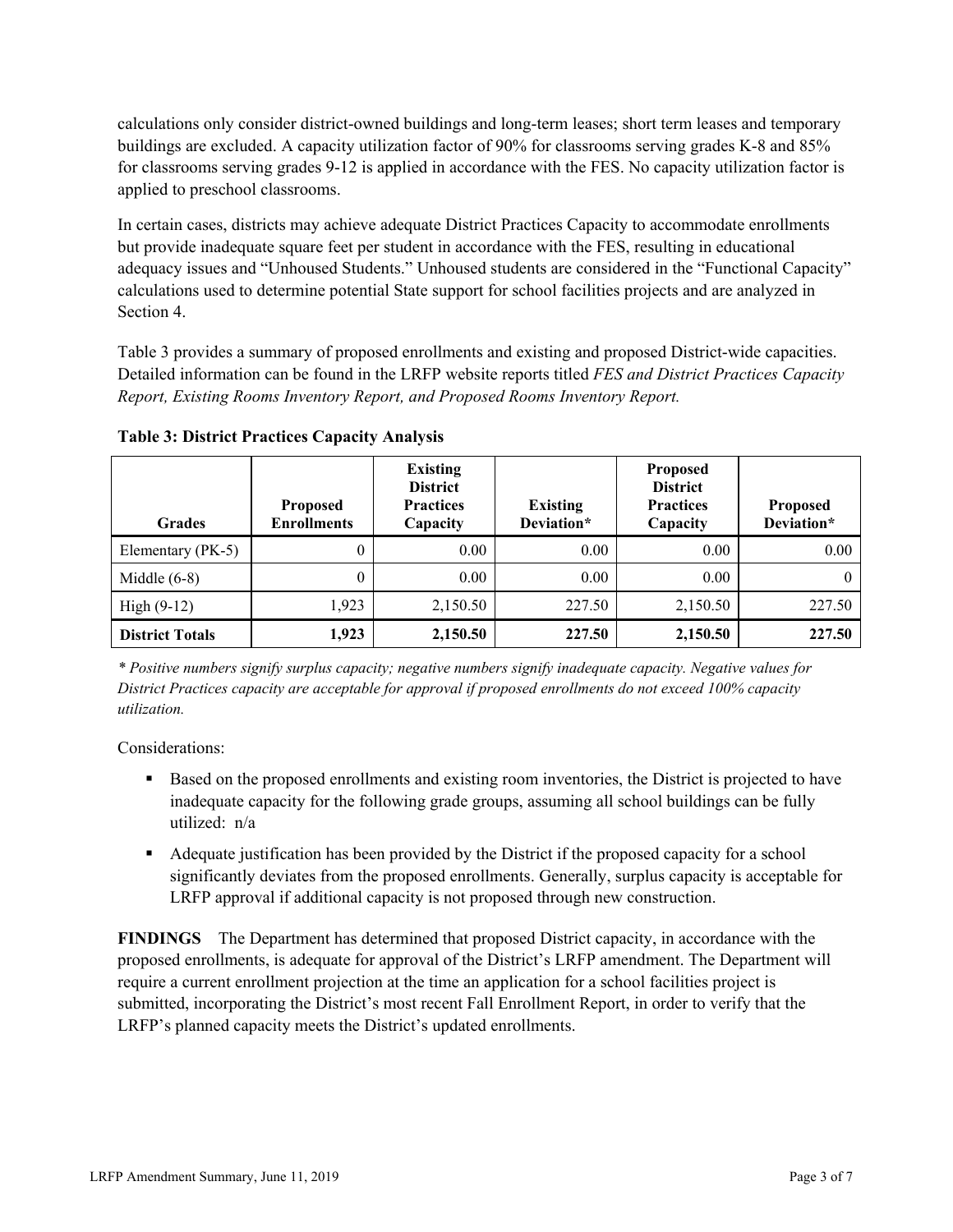calculations only consider district-owned buildings and long-term leases; short term leases and temporary buildings are excluded. A capacity utilization factor of 90% for classrooms serving grades K-8 and 85% for classrooms serving grades 9-12 is applied in accordance with the FES. No capacity utilization factor is applied to preschool classrooms.

In certain cases, districts may achieve adequate District Practices Capacity to accommodate enrollments but provide inadequate square feet per student in accordance with the FES, resulting in educational adequacy issues and "Unhoused Students." Unhoused students are considered in the "Functional Capacity" calculations used to determine potential State support for school facilities projects and are analyzed in Section 4.

Table 3 provides a summary of proposed enrollments and existing and proposed District-wide capacities. Detailed information can be found in the LRFP website reports titled *FES and District Practices Capacity Report, Existing Rooms Inventory Report, and Proposed Rooms Inventory Report.*

| <b>Grades</b>          | <b>Proposed</b><br><b>Enrollments</b> | <b>Existing</b><br><b>District</b><br><b>Practices</b><br>Capacity | <b>Existing</b><br>Deviation* | <b>Proposed</b><br><b>District</b><br><b>Practices</b><br>Capacity | <b>Proposed</b><br>Deviation* |
|------------------------|---------------------------------------|--------------------------------------------------------------------|-------------------------------|--------------------------------------------------------------------|-------------------------------|
| Elementary (PK-5)      | $\theta$                              | 0.00                                                               | 0.00                          | 0.00                                                               | 0.00                          |
| Middle $(6-8)$         | $\theta$                              | 0.00                                                               | 0.00                          | 0.00                                                               |                               |
| High $(9-12)$          | 1,923                                 | 2,150.50                                                           | 227.50                        | 2,150.50                                                           | 227.50                        |
| <b>District Totals</b> | 1,923                                 | 2,150.50                                                           | 227.50                        | 2,150.50                                                           | 227.50                        |

**Table 3: District Practices Capacity Analysis**

*\* Positive numbers signify surplus capacity; negative numbers signify inadequate capacity. Negative values for District Practices capacity are acceptable for approval if proposed enrollments do not exceed 100% capacity utilization.*

Considerations:

- Based on the proposed enrollments and existing room inventories, the District is projected to have inadequate capacity for the following grade groups, assuming all school buildings can be fully utilized: n/a
- Adequate justification has been provided by the District if the proposed capacity for a school significantly deviates from the proposed enrollments. Generally, surplus capacity is acceptable for LRFP approval if additional capacity is not proposed through new construction.

**FINDINGS**The Department has determined that proposed District capacity, in accordance with the proposed enrollments, is adequate for approval of the District's LRFP amendment. The Department will require a current enrollment projection at the time an application for a school facilities project is submitted, incorporating the District's most recent Fall Enrollment Report, in order to verify that the LRFP's planned capacity meets the District's updated enrollments.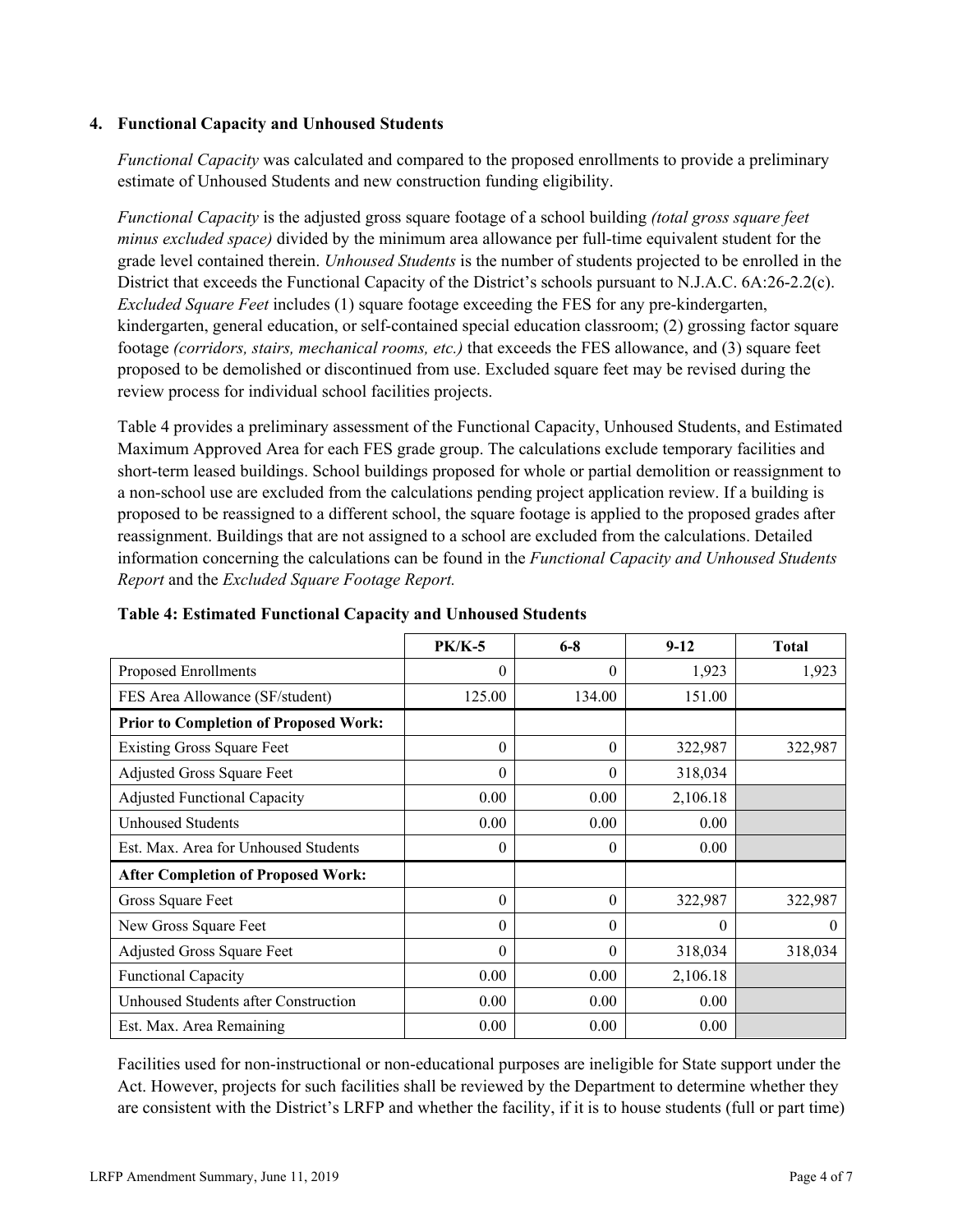### **4. Functional Capacity and Unhoused Students**

*Functional Capacity* was calculated and compared to the proposed enrollments to provide a preliminary estimate of Unhoused Students and new construction funding eligibility.

*Functional Capacity* is the adjusted gross square footage of a school building *(total gross square feet minus excluded space)* divided by the minimum area allowance per full-time equivalent student for the grade level contained therein. *Unhoused Students* is the number of students projected to be enrolled in the District that exceeds the Functional Capacity of the District's schools pursuant to N.J.A.C. 6A:26-2.2(c). *Excluded Square Feet* includes (1) square footage exceeding the FES for any pre-kindergarten, kindergarten, general education, or self-contained special education classroom; (2) grossing factor square footage *(corridors, stairs, mechanical rooms, etc.)* that exceeds the FES allowance, and (3) square feet proposed to be demolished or discontinued from use. Excluded square feet may be revised during the review process for individual school facilities projects.

Table 4 provides a preliminary assessment of the Functional Capacity, Unhoused Students, and Estimated Maximum Approved Area for each FES grade group. The calculations exclude temporary facilities and short-term leased buildings. School buildings proposed for whole or partial demolition or reassignment to a non-school use are excluded from the calculations pending project application review. If a building is proposed to be reassigned to a different school, the square footage is applied to the proposed grades after reassignment. Buildings that are not assigned to a school are excluded from the calculations. Detailed information concerning the calculations can be found in the *Functional Capacity and Unhoused Students Report* and the *Excluded Square Footage Report.*

|                                              | <b>PK/K-5</b> | $6 - 8$  | $9 - 12$ | Total    |
|----------------------------------------------|---------------|----------|----------|----------|
| Proposed Enrollments                         | $\theta$      | $\theta$ | 1,923    | 1,923    |
| FES Area Allowance (SF/student)              | 125.00        | 134.00   | 151.00   |          |
| <b>Prior to Completion of Proposed Work:</b> |               |          |          |          |
| <b>Existing Gross Square Feet</b>            | $\theta$      | $\theta$ | 322,987  | 322,987  |
| Adjusted Gross Square Feet                   | $\Omega$      | $\theta$ | 318,034  |          |
| <b>Adjusted Functional Capacity</b>          | 0.00          | 0.00     | 2,106.18 |          |
| <b>Unhoused Students</b>                     | 0.00          | 0.00     | 0.00     |          |
| Est. Max. Area for Unhoused Students         | $\Omega$      | $\theta$ | 0.00     |          |
| <b>After Completion of Proposed Work:</b>    |               |          |          |          |
| Gross Square Feet                            | $\theta$      | $\theta$ | 322,987  | 322,987  |
| New Gross Square Feet                        | $\Omega$      | $\Omega$ | $\Omega$ | $\Omega$ |
| Adjusted Gross Square Feet                   | $\Omega$      | $\Omega$ | 318,034  | 318,034  |
| <b>Functional Capacity</b>                   | 0.00          | 0.00     | 2,106.18 |          |
| Unhoused Students after Construction         | 0.00          | 0.00     | 0.00     |          |
| Est. Max. Area Remaining                     | 0.00          | 0.00     | 0.00     |          |

**Table 4: Estimated Functional Capacity and Unhoused Students** 

Facilities used for non-instructional or non-educational purposes are ineligible for State support under the Act. However, projects for such facilities shall be reviewed by the Department to determine whether they are consistent with the District's LRFP and whether the facility, if it is to house students (full or part time)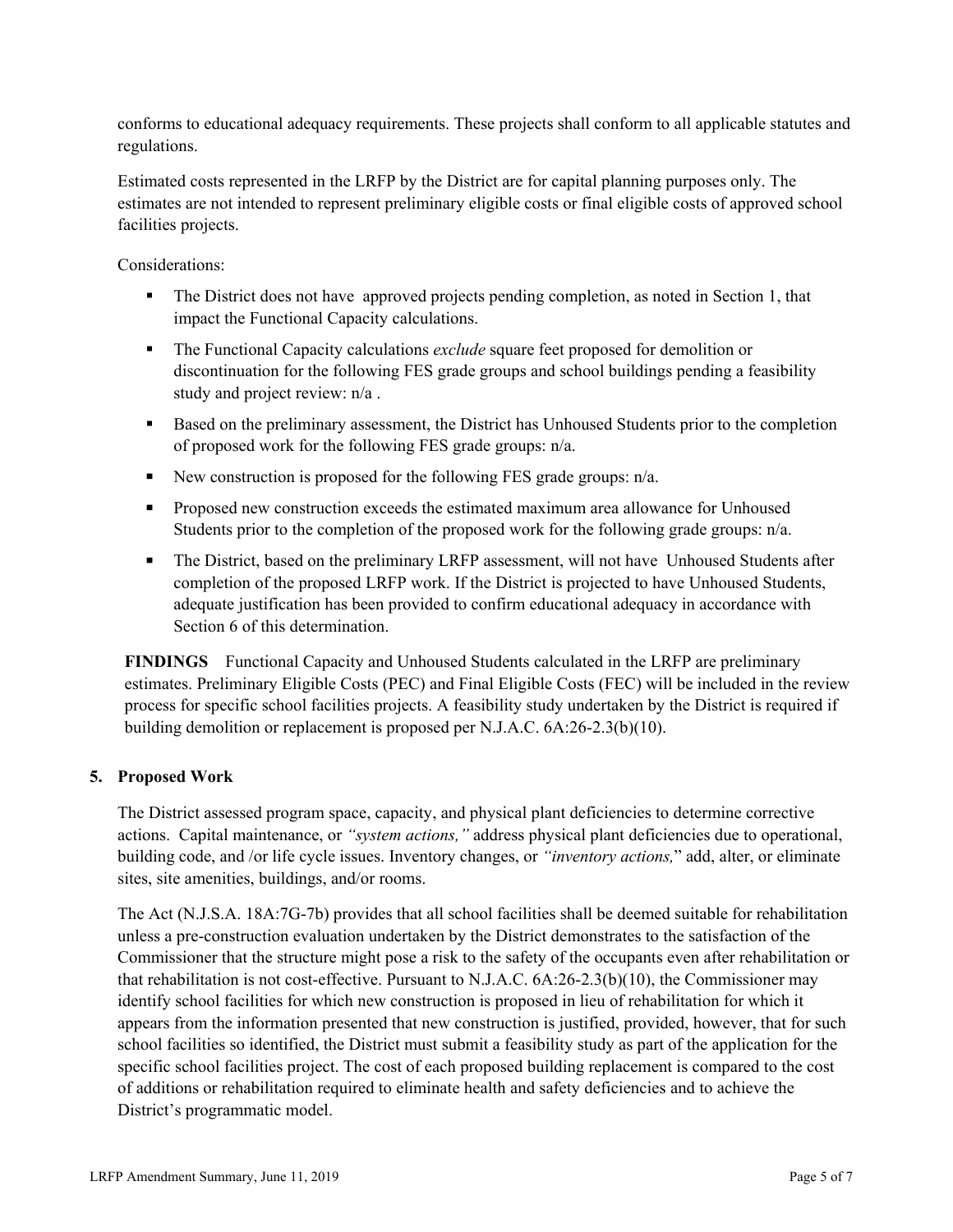conforms to educational adequacy requirements. These projects shall conform to all applicable statutes and regulations.

Estimated costs represented in the LRFP by the District are for capital planning purposes only. The estimates are not intended to represent preliminary eligible costs or final eligible costs of approved school facilities projects.

Considerations:

- The District does not have approved projects pending completion, as noted in Section 1, that impact the Functional Capacity calculations.
- **The Functional Capacity calculations** *exclude* square feet proposed for demolition or discontinuation for the following FES grade groups and school buildings pending a feasibility study and project review: n/a .
- Based on the preliminary assessment, the District has Unhoused Students prior to the completion of proposed work for the following FES grade groups: n/a.
- New construction is proposed for the following FES grade groups:  $n/a$ .
- **Proposed new construction exceeds the estimated maximum area allowance for Unhoused** Students prior to the completion of the proposed work for the following grade groups: n/a.
- The District, based on the preliminary LRFP assessment, will not have Unhoused Students after completion of the proposed LRFP work. If the District is projected to have Unhoused Students, adequate justification has been provided to confirm educational adequacy in accordance with Section 6 of this determination.

**FINDINGS** Functional Capacity and Unhoused Students calculated in the LRFP are preliminary estimates. Preliminary Eligible Costs (PEC) and Final Eligible Costs (FEC) will be included in the review process for specific school facilities projects. A feasibility study undertaken by the District is required if building demolition or replacement is proposed per N.J.A.C. 6A:26-2.3(b)(10).

# **5. Proposed Work**

The District assessed program space, capacity, and physical plant deficiencies to determine corrective actions. Capital maintenance, or *"system actions,"* address physical plant deficiencies due to operational, building code, and /or life cycle issues. Inventory changes, or *"inventory actions,*" add, alter, or eliminate sites, site amenities, buildings, and/or rooms.

The Act (N.J.S.A. 18A:7G-7b) provides that all school facilities shall be deemed suitable for rehabilitation unless a pre-construction evaluation undertaken by the District demonstrates to the satisfaction of the Commissioner that the structure might pose a risk to the safety of the occupants even after rehabilitation or that rehabilitation is not cost-effective. Pursuant to N.J.A.C. 6A:26-2.3(b)(10), the Commissioner may identify school facilities for which new construction is proposed in lieu of rehabilitation for which it appears from the information presented that new construction is justified, provided, however, that for such school facilities so identified, the District must submit a feasibility study as part of the application for the specific school facilities project. The cost of each proposed building replacement is compared to the cost of additions or rehabilitation required to eliminate health and safety deficiencies and to achieve the District's programmatic model.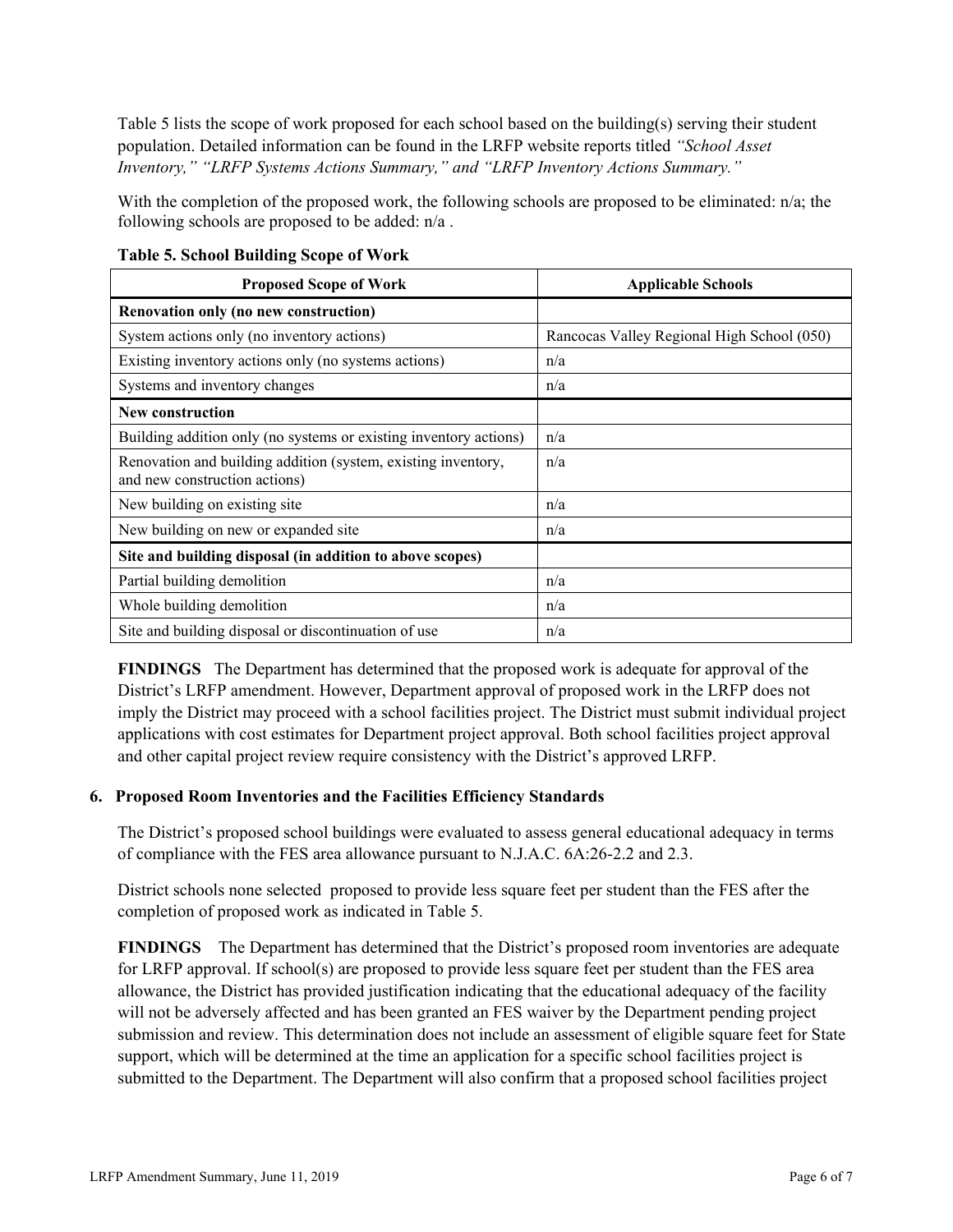Table 5 lists the scope of work proposed for each school based on the building(s) serving their student population. Detailed information can be found in the LRFP website reports titled *"School Asset Inventory," "LRFP Systems Actions Summary," and "LRFP Inventory Actions Summary."*

With the completion of the proposed work, the following schools are proposed to be eliminated: n/a; the following schools are proposed to be added: n/a .

| <b>Proposed Scope of Work</b>                                                                  | <b>Applicable Schools</b>                  |
|------------------------------------------------------------------------------------------------|--------------------------------------------|
| Renovation only (no new construction)                                                          |                                            |
| System actions only (no inventory actions)                                                     | Rancocas Valley Regional High School (050) |
| Existing inventory actions only (no systems actions)                                           | n/a                                        |
| Systems and inventory changes                                                                  | n/a                                        |
| <b>New construction</b>                                                                        |                                            |
| Building addition only (no systems or existing inventory actions)                              | n/a                                        |
| Renovation and building addition (system, existing inventory,<br>and new construction actions) | n/a                                        |
| New building on existing site                                                                  | n/a                                        |
| New building on new or expanded site                                                           | n/a                                        |
| Site and building disposal (in addition to above scopes)                                       |                                            |
| Partial building demolition                                                                    | n/a                                        |
| Whole building demolition                                                                      | n/a                                        |
| Site and building disposal or discontinuation of use                                           | n/a                                        |

**Table 5. School Building Scope of Work**

**FINDINGS** The Department has determined that the proposed work is adequate for approval of the District's LRFP amendment. However, Department approval of proposed work in the LRFP does not imply the District may proceed with a school facilities project. The District must submit individual project applications with cost estimates for Department project approval. Both school facilities project approval and other capital project review require consistency with the District's approved LRFP.

# **6. Proposed Room Inventories and the Facilities Efficiency Standards**

The District's proposed school buildings were evaluated to assess general educational adequacy in terms of compliance with the FES area allowance pursuant to N.J.A.C. 6A:26-2.2 and 2.3.

District schools none selected proposed to provide less square feet per student than the FES after the completion of proposed work as indicated in Table 5.

**FINDINGS** The Department has determined that the District's proposed room inventories are adequate for LRFP approval. If school(s) are proposed to provide less square feet per student than the FES area allowance, the District has provided justification indicating that the educational adequacy of the facility will not be adversely affected and has been granted an FES waiver by the Department pending project submission and review. This determination does not include an assessment of eligible square feet for State support, which will be determined at the time an application for a specific school facilities project is submitted to the Department. The Department will also confirm that a proposed school facilities project